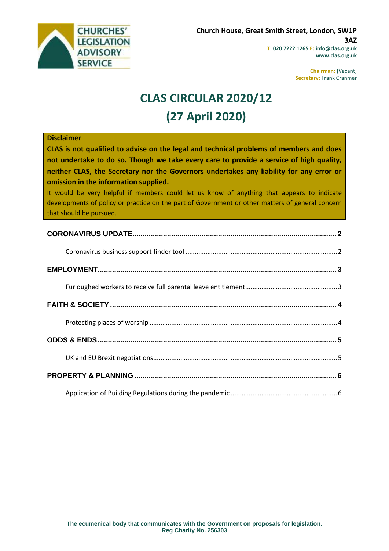

**Chairman:** [Vacant] **Secretary:** Frank Cranmer

# **CLAS CIRCULAR 2020/12 (27 April 2020)**

### **Disclaimer**

**CLAS is not qualified to advise on the legal and technical problems of members and does not undertake to do so. Though we take every care to provide a service of high quality, neither CLAS, the Secretary nor the Governors undertakes any liability for any error or omission in the information supplied.**

It would be very helpful if members could let us know of anything that appears to indicate developments of policy or practice on the part of Government or other matters of general concern that should be pursued.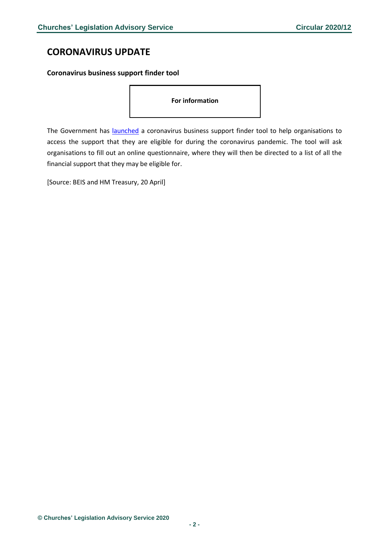## <span id="page-1-0"></span>**CORONAVIRUS UPDATE**

### <span id="page-1-1"></span>**Coronavirus business support finder tool**

#### **For information**

The Government has **launched** a coronavirus business support finder tool to help organisations to access the support that they are eligible for during the coronavirus pandemic. The tool will ask organisations to fill out an online questionnaire, where they will then be directed to a list of all the financial support that they may be eligible for.

[Source: BEIS and HM Treasury, 20 April]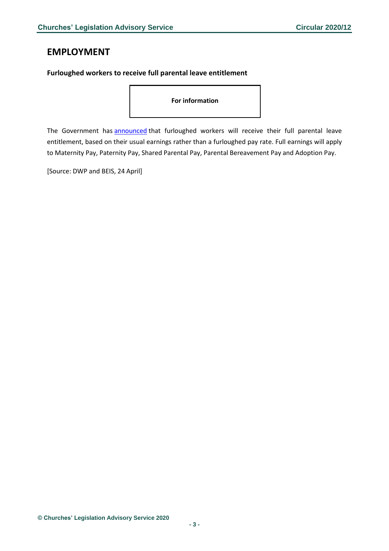### <span id="page-2-0"></span>**EMPLOYMENT**

### <span id="page-2-1"></span>**Furloughed workers to receive full parental leave entitlement**

**For information**

The Government has [announced](https://www.gov.uk/government/news/furloughed-workers-to-receive-full-parental-leave-entitlement?utm_source=336a7e60-eabe-4a96-b9c1-ddc2d0fc90c5&utm_medium=email&utm_campaign=govuk-notifications&utm_content=daily) that furloughed workers will receive their full parental leave entitlement, based on their usual earnings rather than a furloughed pay rate. Full earnings will apply to Maternity Pay, Paternity Pay, Shared Parental Pay, Parental Bereavement Pay and Adoption Pay.

[Source: DWP and BEIS, 24 April]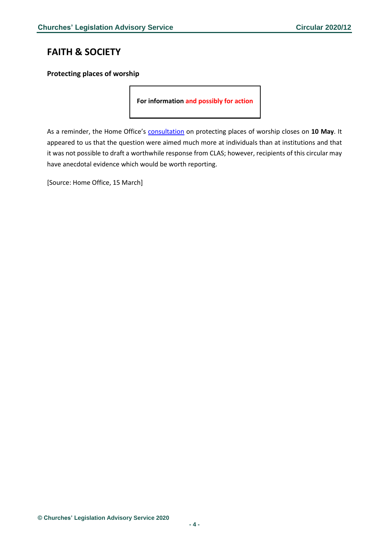# <span id="page-3-0"></span>**FAITH & SOCIETY**

### <span id="page-3-1"></span>**Protecting places of worship**

**For information and possibly for action**

As a reminder, the Home Office's **[consultation](https://assets.publishing.service.gov.uk/government/uploads/system/uploads/attachment_data/file/877230/31-03-12_Protecting_Places_of_Worship_Consultation.pdf)** on protecting places of worship closes on 10 May. It appeared to us that the question were aimed much more at individuals than at institutions and that it was not possible to draft a worthwhile response from CLAS; however, recipients of this circular may have anecdotal evidence which would be worth reporting.

[Source: Home Office, 15 March]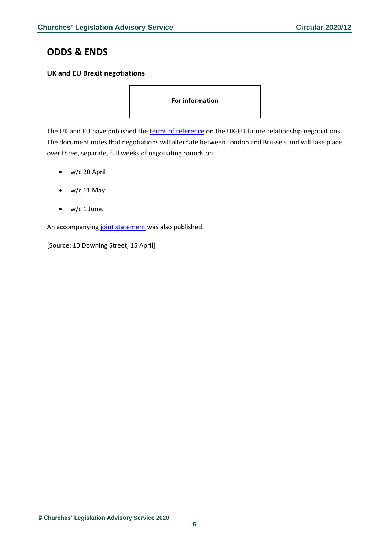## <span id="page-4-0"></span>**ODDS & ENDS**

### <span id="page-4-1"></span>**UK and EU Brexit negotiations**

**For information** 

The UK and EU have published the [terms of reference](https://ec.europa.eu/info/sites/info/files/terms-of-reference-eu-uk-future-relationship.pdf) on the UK-EU future relationship negotiations. The document notes that negotiations will alternate between London and Brussels and will take place over three, separate, full weeks of negotiating rounds on:

- w/c 20 April
- w/c 11 May
- $\bullet$  w/c 1 June.

An accompanyin[g joint statement](https://www.gov.uk/government/news/joint-statement-by-uk-and-eu-negotiators-following-the-videoconference-on-15-april-2020) was also published.

[Source: 10 Downing Street, 15 April]